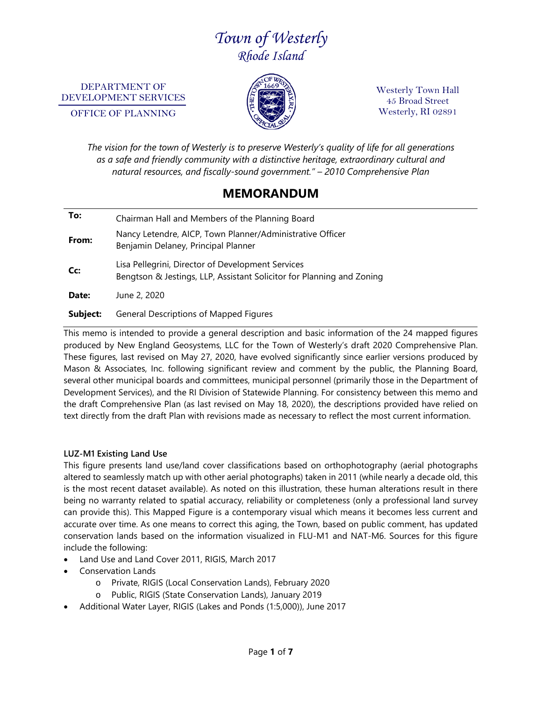# *Town of Westerly Rhode Island*

DEPARTMENT OF DEVELOPMENT SERVICES

OFFICE OF PLANNING



Westerly Town Hall 45 Broad Street Westerly, RI 02891

*The vision for the town of Westerly is to preserve Westerly's quality of life for all generations as a safe and friendly community with a distinctive heritage, extraordinary cultural and natural resources, and fiscally-sound government." – 2010 Comprehensive Plan*

# **MEMORANDUM**

| To:      | Chairman Hall and Members of the Planning Board                                                                            |
|----------|----------------------------------------------------------------------------------------------------------------------------|
| From:    | Nancy Letendre, AICP, Town Planner/Administrative Officer<br>Benjamin Delaney, Principal Planner                           |
| Cc:      | Lisa Pellegrini, Director of Development Services<br>Bengtson & Jestings, LLP, Assistant Solicitor for Planning and Zoning |
| Date:    | June 2, 2020                                                                                                               |
| Subject: | <b>General Descriptions of Mapped Figures</b>                                                                              |

This memo is intended to provide a general description and basic information of the 24 mapped figures produced by New England Geosystems, LLC for the Town of Westerly's draft 2020 Comprehensive Plan. These figures, last revised on May 27, 2020, have evolved significantly since earlier versions produced by Mason & Associates, Inc. following significant review and comment by the public, the Planning Board, several other municipal boards and committees, municipal personnel (primarily those in the Department of Development Services), and the RI Division of Statewide Planning. For consistency between this memo and the draft Comprehensive Plan (as last revised on May 18, 2020), the descriptions provided have relied on text directly from the draft Plan with revisions made as necessary to reflect the most current information.

#### **LUZ-M1 Existing Land Use**

This figure presents land use/land cover classifications based on orthophotography (aerial photographs altered to seamlessly match up with other aerial photographs) taken in 2011 (while nearly a decade old, this is the most recent dataset available). As noted on this illustration, these human alterations result in there being no warranty related to spatial accuracy, reliability or completeness (only a professional land survey can provide this). This Mapped Figure is a contemporary visual which means it becomes less current and accurate over time. As one means to correct this aging, the Town, based on public comment, has updated conservation lands based on the information visualized in FLU-M1 and NAT-M6. Sources for this figure include the following:

- Land Use and Land Cover 2011, RIGIS, March 2017
- Conservation Lands
	- o Private, RIGIS (Local Conservation Lands), February 2020
	- o Public, RIGIS (State Conservation Lands), January 2019
- Additional Water Layer, RIGIS (Lakes and Ponds (1:5,000)), June 2017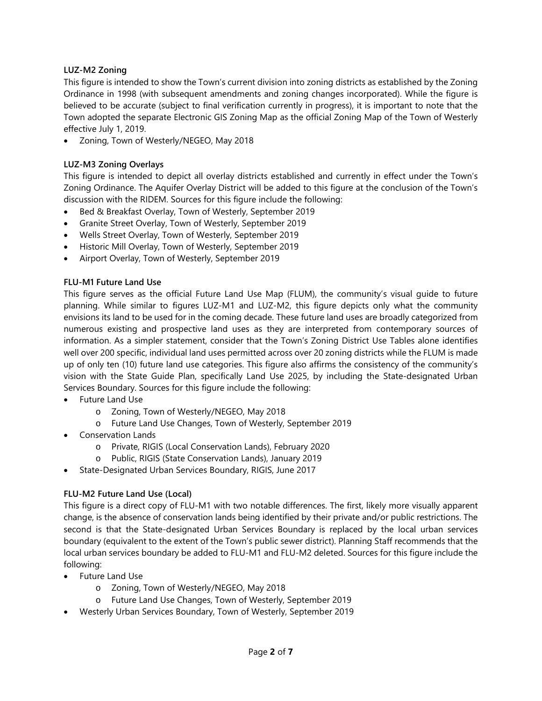# **LUZ-M2 Zoning**

This figure is intended to show the Town's current division into zoning districts as established by the Zoning Ordinance in 1998 (with subsequent amendments and zoning changes incorporated). While the figure is believed to be accurate (subject to final verification currently in progress), it is important to note that the Town adopted the separate Electronic GIS Zoning Map as the official Zoning Map of the Town of Westerly effective July 1, 2019.

• Zoning, Town of Westerly/NEGEO, May 2018

# **LUZ-M3 Zoning Overlays**

This figure is intended to depict all overlay districts established and currently in effect under the Town's Zoning Ordinance. The Aquifer Overlay District will be added to this figure at the conclusion of the Town's discussion with the RIDEM. Sources for this figure include the following:

- Bed & Breakfast Overlay, Town of Westerly, September 2019
- Granite Street Overlay, Town of Westerly, September 2019
- Wells Street Overlay, Town of Westerly, September 2019
- Historic Mill Overlay, Town of Westerly, September 2019
- Airport Overlay, Town of Westerly, September 2019

# **FLU-M1 Future Land Use**

This figure serves as the official Future Land Use Map (FLUM), the community's visual guide to future planning. While similar to figures LUZ-M1 and LUZ-M2, this figure depicts only what the community envisions its land to be used for in the coming decade. These future land uses are broadly categorized from numerous existing and prospective land uses as they are interpreted from contemporary sources of information. As a simpler statement, consider that the Town's Zoning District Use Tables alone identifies well over 200 specific, individual land uses permitted across over 20 zoning districts while the FLUM is made up of only ten (10) future land use categories. This figure also affirms the consistency of the community's vision with the State Guide Plan, specifically Land Use 2025, by including the State-designated Urban Services Boundary. Sources for this figure include the following:

- Future Land Use
	- o Zoning, Town of Westerly/NEGEO, May 2018
	- o Future Land Use Changes, Town of Westerly, September 2019
- Conservation Lands
	- o Private, RIGIS (Local Conservation Lands), February 2020
	- o Public, RIGIS (State Conservation Lands), January 2019
- State-Designated Urban Services Boundary, RIGIS, June 2017

# **FLU-M2 Future Land Use (Local)**

This figure is a direct copy of FLU-M1 with two notable differences. The first, likely more visually apparent change, is the absence of conservation lands being identified by their private and/or public restrictions. The second is that the State-designated Urban Services Boundary is replaced by the local urban services boundary (equivalent to the extent of the Town's public sewer district). Planning Staff recommends that the local urban services boundary be added to FLU-M1 and FLU-M2 deleted. Sources for this figure include the following:

- Future Land Use
	- o Zoning, Town of Westerly/NEGEO, May 2018
	- o Future Land Use Changes, Town of Westerly, September 2019
- Westerly Urban Services Boundary, Town of Westerly, September 2019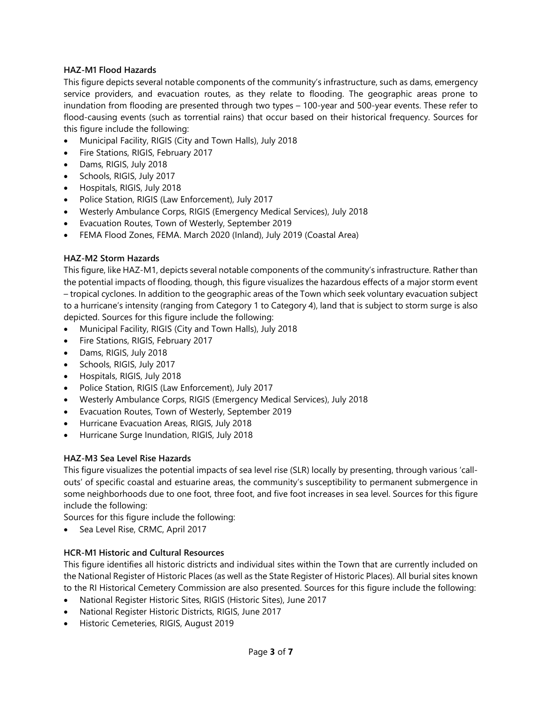#### **HAZ-M1 Flood Hazards**

This figure depicts several notable components of the community's infrastructure, such as dams, emergency service providers, and evacuation routes, as they relate to flooding. The geographic areas prone to inundation from flooding are presented through two types – 100-year and 500-year events. These refer to flood-causing events (such as torrential rains) that occur based on their historical frequency. Sources for this figure include the following:

- Municipal Facility, RIGIS (City and Town Halls), July 2018
- Fire Stations, RIGIS, February 2017
- Dams, RIGIS, July 2018
- Schools, RIGIS, July 2017
- Hospitals, RIGIS, July 2018
- Police Station, RIGIS (Law Enforcement), July 2017
- Westerly Ambulance Corps, RIGIS (Emergency Medical Services), July 2018
- Evacuation Routes, Town of Westerly, September 2019
- FEMA Flood Zones, FEMA. March 2020 (Inland), July 2019 (Coastal Area)

#### **HAZ-M2 Storm Hazards**

This figure, like HAZ-M1, depicts several notable components of the community's infrastructure. Rather than the potential impacts of flooding, though, this figure visualizes the hazardous effects of a major storm event – tropical cyclones. In addition to the geographic areas of the Town which seek voluntary evacuation subject to a hurricane's intensity (ranging from Category 1 to Category 4), land that is subject to storm surge is also depicted. Sources for this figure include the following:

- Municipal Facility, RIGIS (City and Town Halls), July 2018
- Fire Stations, RIGIS, February 2017
- Dams, RIGIS, July 2018
- Schools, RIGIS, July 2017
- Hospitals, RIGIS, July 2018
- Police Station, RIGIS (Law Enforcement), July 2017
- Westerly Ambulance Corps, RIGIS (Emergency Medical Services), July 2018
- Evacuation Routes, Town of Westerly, September 2019
- Hurricane Evacuation Areas, RIGIS, July 2018
- Hurricane Surge Inundation, RIGIS, July 2018

#### **HAZ-M3 Sea Level Rise Hazards**

This figure visualizes the potential impacts of sea level rise (SLR) locally by presenting, through various 'callouts' of specific coastal and estuarine areas, the community's susceptibility to permanent submergence in some neighborhoods due to one foot, three foot, and five foot increases in sea level. Sources for this figure include the following:

Sources for this figure include the following:

• Sea Level Rise, CRMC, April 2017

#### **HCR-M1 Historic and Cultural Resources**

This figure identifies all historic districts and individual sites within the Town that are currently included on the National Register of Historic Places (as well as the State Register of Historic Places). All burial sites known to the RI Historical Cemetery Commission are also presented. Sources for this figure include the following:

- National Register Historic Sites, RIGIS (Historic Sites), June 2017
- National Register Historic Districts, RIGIS, June 2017
- Historic Cemeteries, RIGIS, August 2019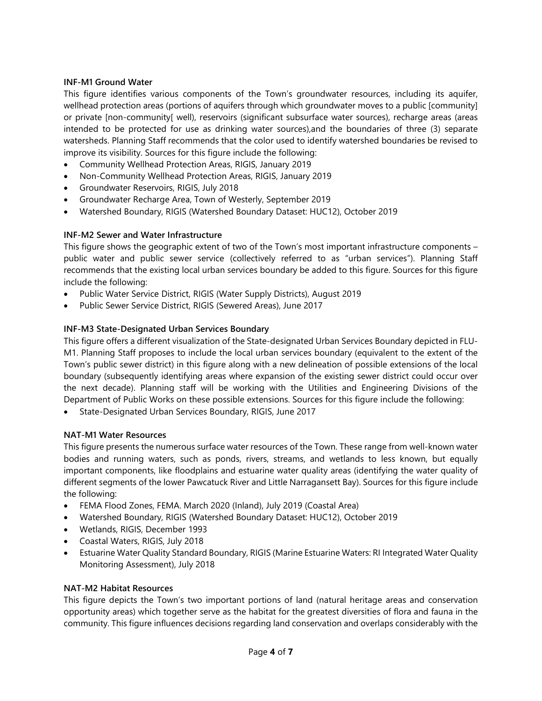#### **INF-M1 Ground Water**

This figure identifies various components of the Town's groundwater resources, including its aquifer, wellhead protection areas (portions of aquifers through which groundwater moves to a public [community] or private [non-community[ well), reservoirs (significant subsurface water sources), recharge areas (areas intended to be protected for use as drinking water sources),and the boundaries of three (3) separate watersheds. Planning Staff recommends that the color used to identify watershed boundaries be revised to improve its visibility. Sources for this figure include the following:

- Community Wellhead Protection Areas, RIGIS, January 2019
- Non-Community Wellhead Protection Areas, RIGIS, January 2019
- Groundwater Reservoirs, RIGIS, July 2018
- Groundwater Recharge Area, Town of Westerly, September 2019
- Watershed Boundary, RIGIS (Watershed Boundary Dataset: HUC12), October 2019

# **INF-M2 Sewer and Water Infrastructure**

This figure shows the geographic extent of two of the Town's most important infrastructure components – public water and public sewer service (collectively referred to as "urban services"). Planning Staff recommends that the existing local urban services boundary be added to this figure. Sources for this figure include the following:

- Public Water Service District, RIGIS (Water Supply Districts), August 2019
- Public Sewer Service District, RIGIS (Sewered Areas), June 2017

# **INF-M3 State-Designated Urban Services Boundary**

This figure offers a different visualization of the State-designated Urban Services Boundary depicted in FLU-M1. Planning Staff proposes to include the local urban services boundary (equivalent to the extent of the Town's public sewer district) in this figure along with a new delineation of possible extensions of the local boundary (subsequently identifying areas where expansion of the existing sewer district could occur over the next decade). Planning staff will be working with the Utilities and Engineering Divisions of the Department of Public Works on these possible extensions. Sources for this figure include the following:

• State-Designated Urban Services Boundary, RIGIS, June 2017

# **NAT-M1 Water Resources**

This figure presents the numerous surface water resources of the Town. These range from well-known water bodies and running waters, such as ponds, rivers, streams, and wetlands to less known, but equally important components, like floodplains and estuarine water quality areas (identifying the water quality of different segments of the lower Pawcatuck River and Little Narragansett Bay). Sources for this figure include the following:

- FEMA Flood Zones, FEMA. March 2020 (Inland), July 2019 (Coastal Area)
- Watershed Boundary, RIGIS (Watershed Boundary Dataset: HUC12), October 2019
- Wetlands, RIGIS, December 1993
- Coastal Waters, RIGIS, July 2018
- Estuarine Water Quality Standard Boundary, RIGIS (Marine Estuarine Waters: RI Integrated Water Quality Monitoring Assessment), July 2018

#### **NAT-M2 Habitat Resources**

This figure depicts the Town's two important portions of land (natural heritage areas and conservation opportunity areas) which together serve as the habitat for the greatest diversities of flora and fauna in the community. This figure influences decisions regarding land conservation and overlaps considerably with the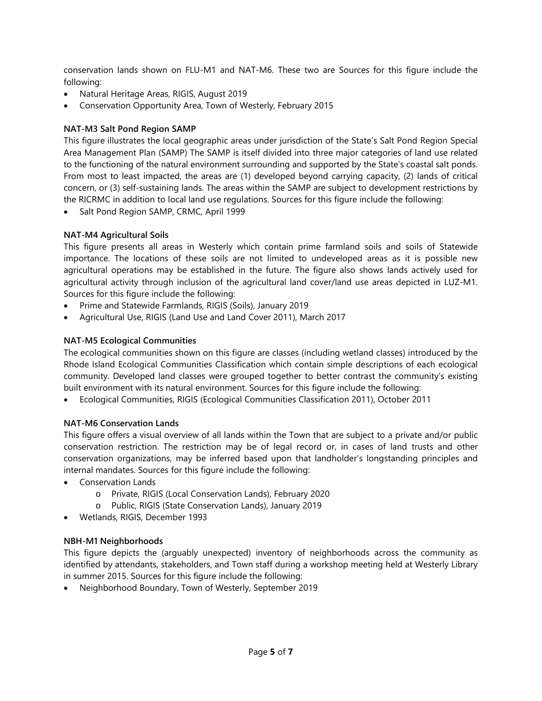conservation lands shown on FLU-M1 and NAT-M6. These two are Sources for this figure include the following:

- Natural Heritage Areas, RIGIS, August 2019
- Conservation Opportunity Area, Town of Westerly, February 2015

# **NAT-M3 Salt Pond Region SAMP**

This figure illustrates the local geographic areas under jurisdiction of the State's Salt Pond Region Special Area Management Plan (SAMP) The SAMP is itself divided into three major categories of land use related to the functioning of the natural environment surrounding and supported by the State's coastal salt ponds. From most to least impacted, the areas are (1) developed beyond carrying capacity, (2) lands of critical concern, or (3) self-sustaining lands. The areas within the SAMP are subject to development restrictions by the RICRMC in addition to local land use regulations. Sources for this figure include the following:

• Salt Pond Region SAMP, CRMC, April 1999

# **NAT-M4 Agricultural Soils**

This figure presents all areas in Westerly which contain prime farmland soils and soils of Statewide importance. The locations of these soils are not limited to undeveloped areas as it is possible new agricultural operations may be established in the future. The figure also shows lands actively used for agricultural activity through inclusion of the agricultural land cover/land use areas depicted in LUZ-M1. Sources for this figure include the following:

- Prime and Statewide Farmlands, RIGIS (Soils), January 2019
- Agricultural Use, RIGIS (Land Use and Land Cover 2011), March 2017

# **NAT-M5 Ecological Communities**

The ecological communities shown on this figure are classes (including wetland classes) introduced by the Rhode Island Ecological Communities Classification which contain simple descriptions of each ecological community. Developed land classes were grouped together to better contrast the community's existing built environment with its natural environment. Sources for this figure include the following:

• Ecological Communities, RIGIS (Ecological Communities Classification 2011), October 2011

# **NAT-M6 Conservation Lands**

This figure offers a visual overview of all lands within the Town that are subject to a private and/or public conservation restriction. The restriction may be of legal record or, in cases of land trusts and other conservation organizations, may be inferred based upon that landholder's longstanding principles and internal mandates. Sources for this figure include the following:

- Conservation Lands
	- o Private, RIGIS (Local Conservation Lands), February 2020
	- o Public, RIGIS (State Conservation Lands), January 2019
- Wetlands, RIGIS, December 1993

# **NBH-M1 Neighborhoods**

This figure depicts the (arguably unexpected) inventory of neighborhoods across the community as identified by attendants, stakeholders, and Town staff during a workshop meeting held at Westerly Library in summer 2015. Sources for this figure include the following:

• Neighborhood Boundary, Town of Westerly, September 2019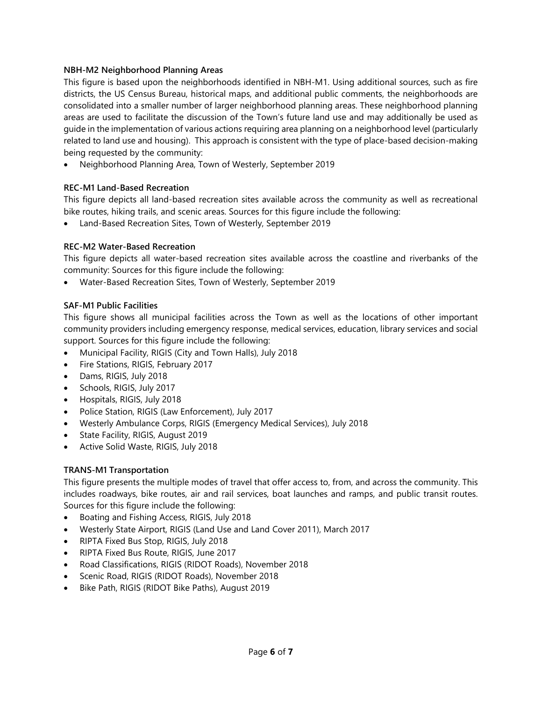#### **NBH-M2 Neighborhood Planning Areas**

This figure is based upon the neighborhoods identified in NBH-M1. Using additional sources, such as fire districts, the US Census Bureau, historical maps, and additional public comments, the neighborhoods are consolidated into a smaller number of larger neighborhood planning areas. These neighborhood planning areas are used to facilitate the discussion of the Town's future land use and may additionally be used as guide in the implementation of various actions requiring area planning on a neighborhood level (particularly related to land use and housing). This approach is consistent with the type of place-based decision-making being requested by the community:

• Neighborhood Planning Area, Town of Westerly, September 2019

#### **REC-M1 Land-Based Recreation**

This figure depicts all land-based recreation sites available across the community as well as recreational bike routes, hiking trails, and scenic areas. Sources for this figure include the following:

• Land-Based Recreation Sites, Town of Westerly, September 2019

#### **REC-M2 Water-Based Recreation**

This figure depicts all water-based recreation sites available across the coastline and riverbanks of the community: Sources for this figure include the following:

• Water-Based Recreation Sites, Town of Westerly, September 2019

#### **SAF-M1 Public Facilities**

This figure shows all municipal facilities across the Town as well as the locations of other important community providers including emergency response, medical services, education, library services and social support. Sources for this figure include the following:

- Municipal Facility, RIGIS (City and Town Halls), July 2018
- Fire Stations, RIGIS, February 2017
- Dams, RIGIS, July 2018
- Schools, RIGIS, July 2017
- Hospitals, RIGIS, July 2018
- Police Station, RIGIS (Law Enforcement), July 2017
- Westerly Ambulance Corps, RIGIS (Emergency Medical Services), July 2018
- State Facility, RIGIS, August 2019
- Active Solid Waste, RIGIS, July 2018

# **TRANS-M1 Transportation**

This figure presents the multiple modes of travel that offer access to, from, and across the community. This includes roadways, bike routes, air and rail services, boat launches and ramps, and public transit routes. Sources for this figure include the following:

- Boating and Fishing Access, RIGIS, July 2018
- Westerly State Airport, RIGIS (Land Use and Land Cover 2011), March 2017
- RIPTA Fixed Bus Stop, RIGIS, July 2018
- RIPTA Fixed Bus Route, RIGIS, June 2017
- Road Classifications, RIGIS (RIDOT Roads), November 2018
- Scenic Road, RIGIS (RIDOT Roads), November 2018
- Bike Path, RIGIS (RIDOT Bike Paths), August 2019